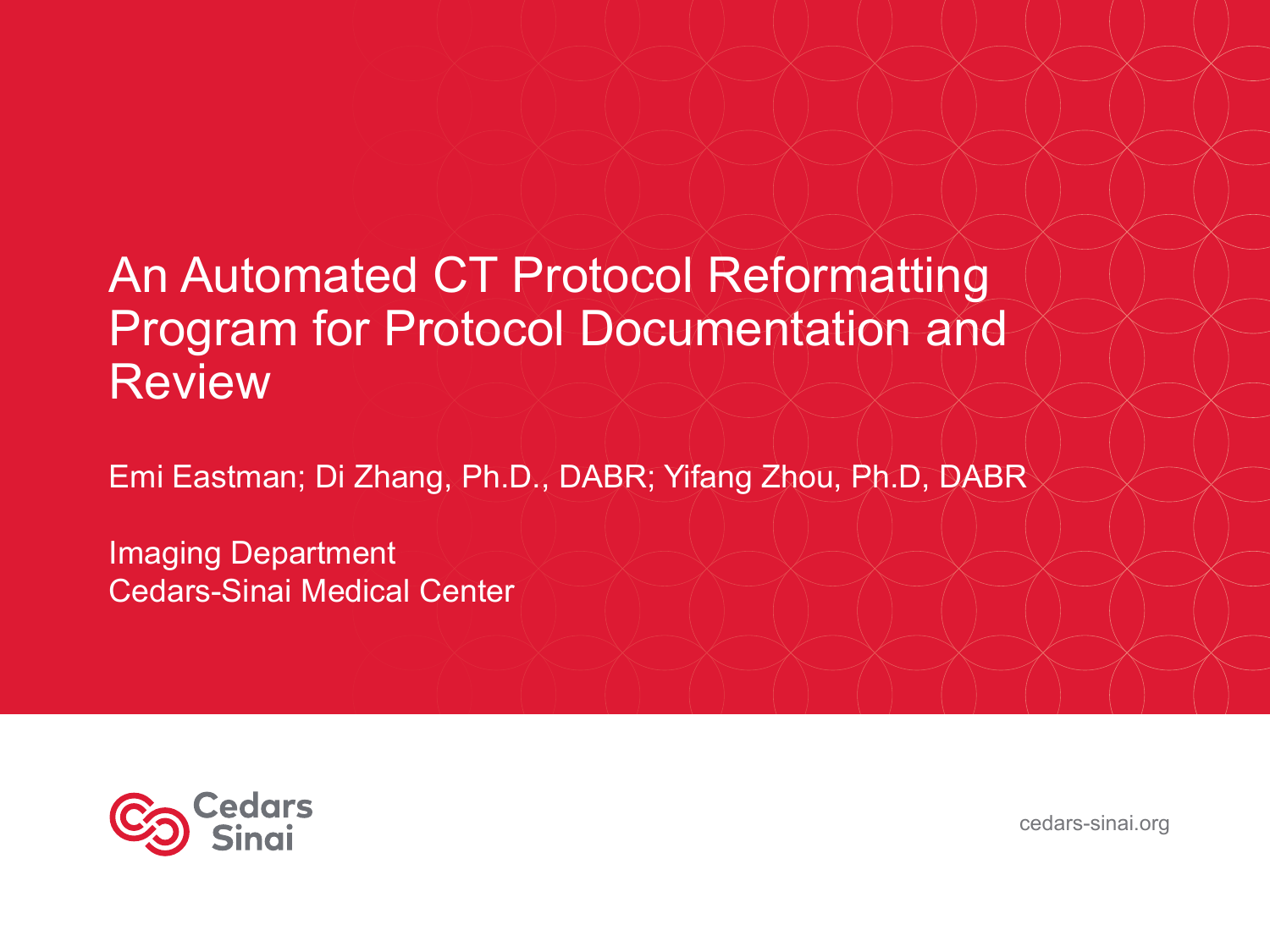### An Automated CT Protocol Reformatting Program for Protocol Documentation and Review

Emi Eastman; Di Zhang, Ph.D., DABR; Yifang Zhou, Ph.D, DABR

Imaging Department Cedars-Sinai Medical Center



cedars-sinai.org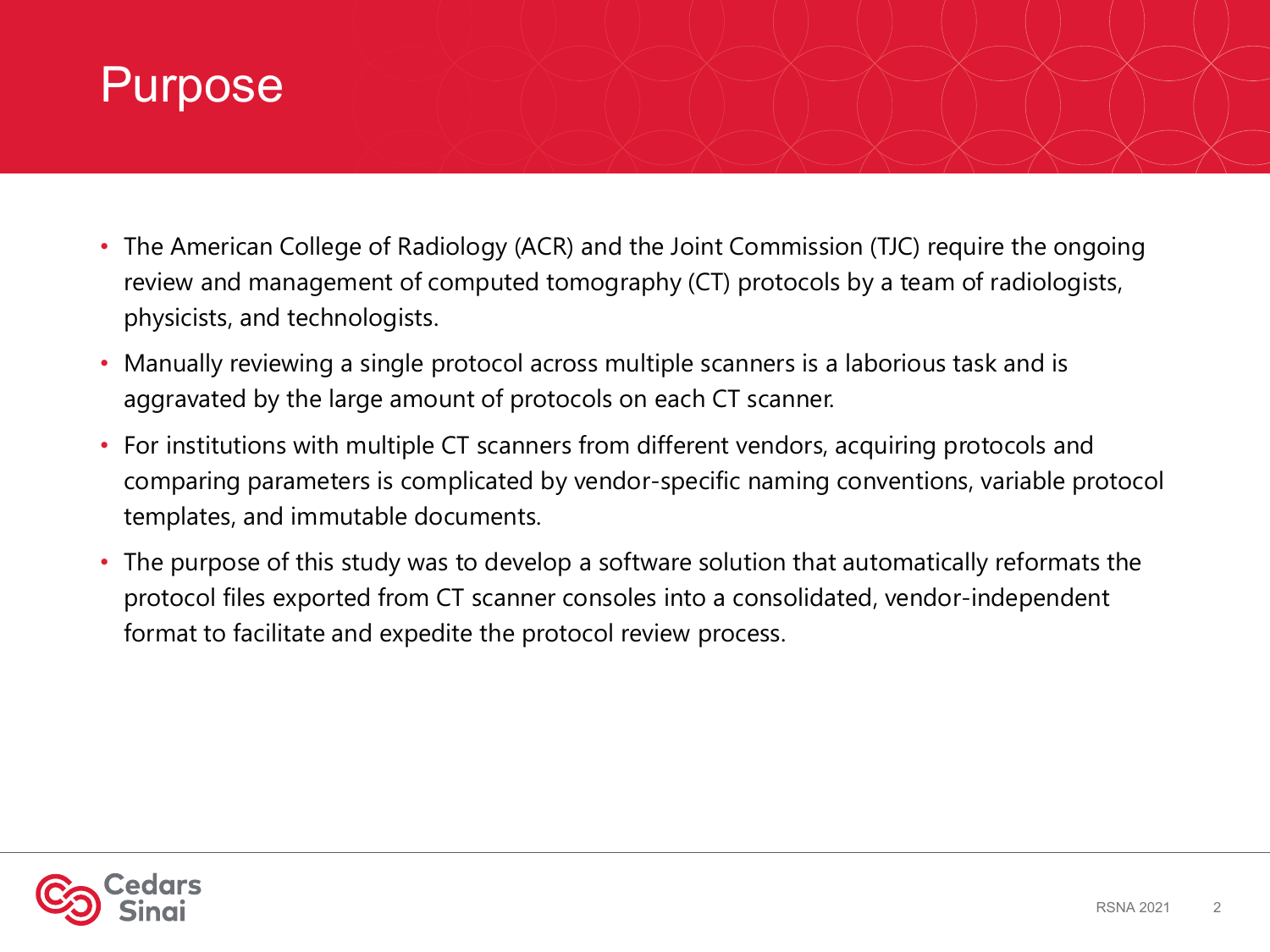#### Purpose

- The American College of Radiology (ACR) and the Joint Commission (TJC) require the ongoing review and management of computed tomography (CT) protocols by a team of radiologists, physicists, and technologists.
- Manually reviewing a single protocol across multiple scanners is a laborious task and is aggravated by the large amount of protocols on each CT scanner.
- For institutions with multiple CT scanners from different vendors, acquiring protocols and comparing parameters is complicated by vendor-specific naming conventions, variable protocol templates, and immutable documents.
- The purpose of this study was to develop a software solution that automatically reformats the protocol files exported from CT scanner consoles into a consolidated, vendor-independent format to facilitate and expedite the protocol review process.

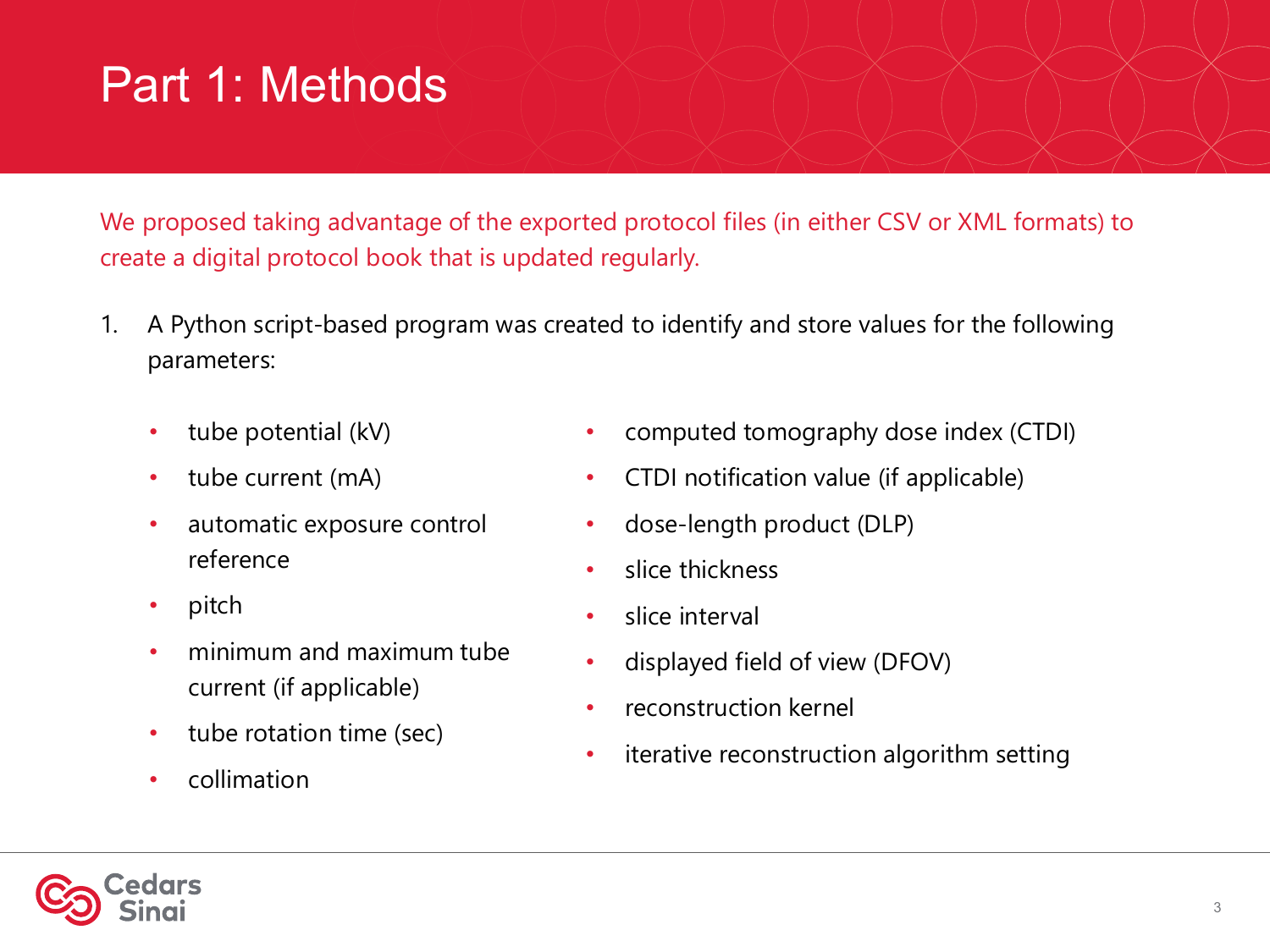# Part 1: Methods

We proposed taking advantage of the exported protocol files (in either CSV or XML formats) to create a digital protocol book that is updated regularly.

- 1. A Python script-based program was created to identify and store values for the following parameters:
	- tube potential (kV)
	- tube current (mA)
	- automatic exposure control reference
	- pitch
	- minimum and maximum tube current (if applicable)
	- tube rotation time (sec)
	- collimation
- computed tomography dose index (CTDI)
- CTDI notification value (if applicable)
- dose-length product (DLP)
- slice thickness
- slice interval
- displayed field of view (DFOV)
- reconstruction kernel
- iterative reconstruction algorithm setting

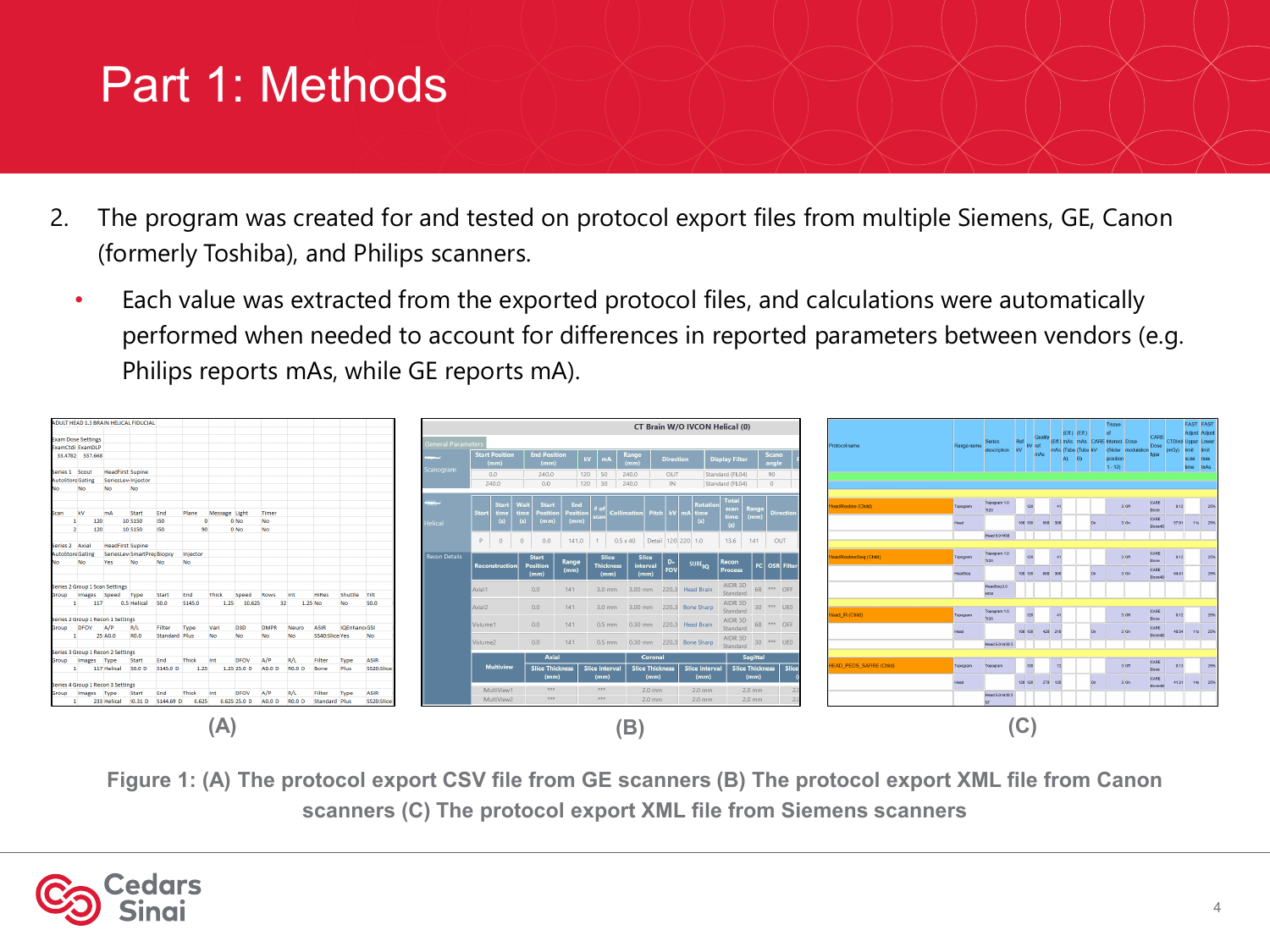# Part 1: Methods

- 2. The program was created for and tested on protocol export files from multiple Siemens, GE, Canon (formerly Toshiba), and Philips scanners.
	- Each value was extracted from the exported protocol files, and calculations were automatically performed when needed to account for differences in reported parameters between vendors (e.g. Philips reports mAs, while GE reports mA).



**Figure 1: (A) The protocol export CSV file from GE scanners (B) The protocol export XML file from Canon scanners (C) The protocol export XML file from Siemens scanners**

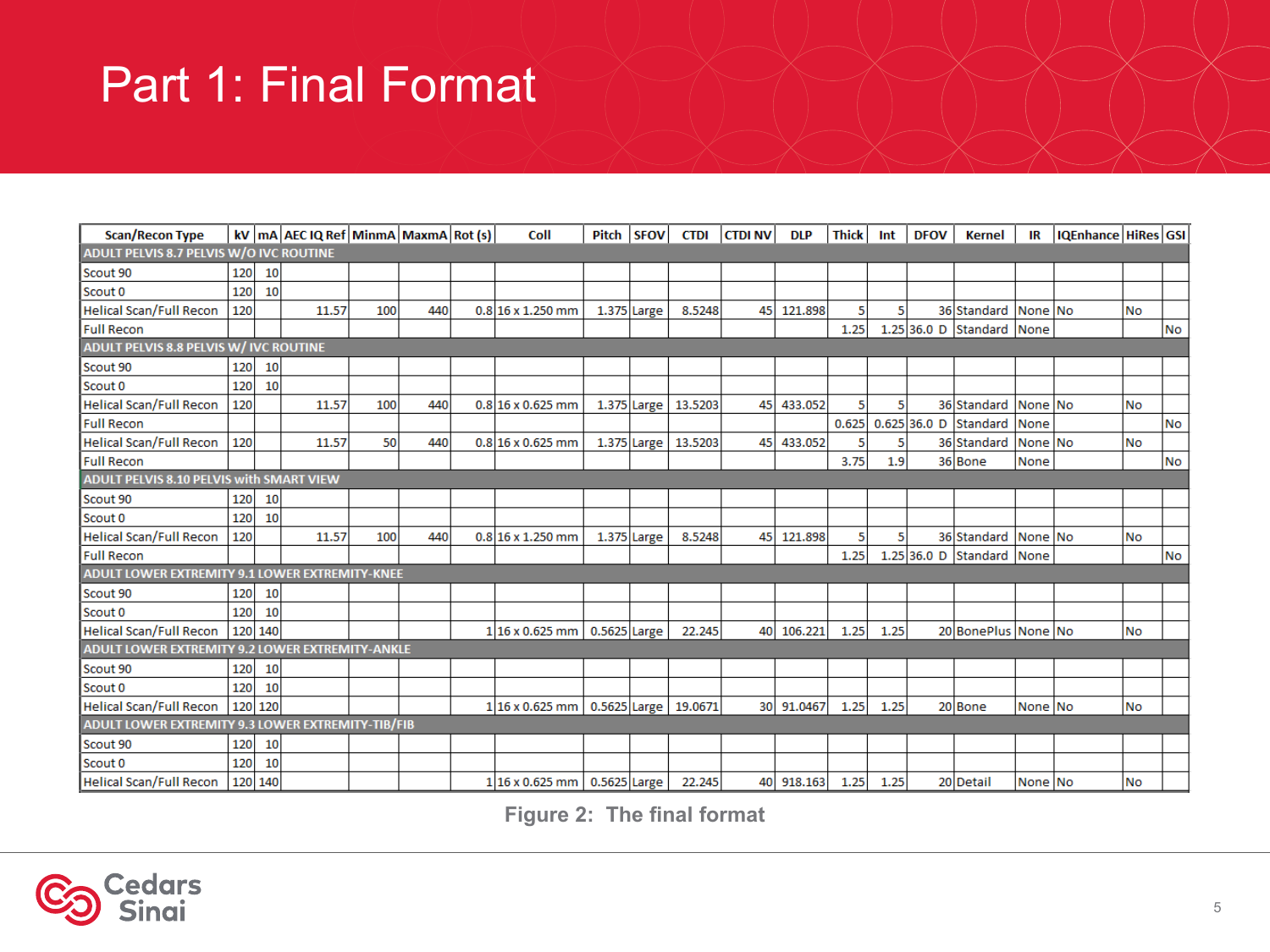## Part 1: Final Format

| <b>Scan/Recon Type</b>                            |     |         | $ kV $ mA AEC IQ Ref MinmA MaxmA Rot (s) |     |     |  | Coll                           | Pitch        | <b>SFOV</b> | <b>CTDI</b> | <b>CTDI NV</b> | <b>DLP</b> | <b>Thick</b> | Int  | <b>DFOV</b> | <b>Kernel</b>             | IR      | <b>IQEnhance HiRes GSI</b> |           |           |
|---------------------------------------------------|-----|---------|------------------------------------------|-----|-----|--|--------------------------------|--------------|-------------|-------------|----------------|------------|--------------|------|-------------|---------------------------|---------|----------------------------|-----------|-----------|
| ADULT PELVIS 8.7 PELVIS W/O IVC ROUTINE           |     |         |                                          |     |     |  |                                |              |             |             |                |            |              |      |             |                           |         |                            |           |           |
| Scout 90                                          | 120 | 10      |                                          |     |     |  |                                |              |             |             |                |            |              |      |             |                           |         |                            |           |           |
| Scout 0                                           | 120 | 10      |                                          |     |     |  |                                |              |             |             |                |            |              |      |             |                           |         |                            |           |           |
| <b>Helical Scan/Full Recon</b>                    | 120 |         | 11.57                                    | 100 | 440 |  | $0.8 16 \times 1.250$ mm       | 1.375 Large  |             | 8.5248      | 45             | 121.898    | 5            | 5    |             | 36 Standard               | None No |                            | <b>No</b> |           |
| <b>Full Recon</b>                                 |     |         |                                          |     |     |  |                                |              |             |             |                |            | 1.25         |      |             | 1.25 36.0 D Standard None |         |                            |           | <b>No</b> |
| ADULT PELVIS 8.8 PELVIS W/ IVC ROUTINE            |     |         |                                          |     |     |  |                                |              |             |             |                |            |              |      |             |                           |         |                            |           |           |
| Scout 90                                          | 120 | 10      |                                          |     |     |  |                                |              |             |             |                |            |              |      |             |                           |         |                            |           |           |
| Scout 0                                           | 120 | 10      |                                          |     |     |  |                                |              |             |             |                |            |              |      |             |                           |         |                            |           |           |
| <b>Helical Scan/Full Recon</b>                    | 120 |         | 11.57                                    | 100 | 440 |  | $0.816 \times 0.625$ mm        |              | 1.375 Large | 13.5203     | 45             | 433.052    | 5            | 5    |             | 36 Standard               | None No |                            | <b>No</b> |           |
| <b>Full Recon</b>                                 |     |         |                                          |     |     |  |                                |              |             |             |                |            | 0.625        |      |             | 0.625 36.0 D Standard     | None    |                            |           | <b>No</b> |
| Helical Scan/Full Recon                           | 120 |         | 11.57                                    | 50  | 440 |  | $0.8 16 \times 0.625$ mm       |              | 1.375 Large | 13.5203     | 45             | 433.052    | 5            |      |             | 36 Standard               | None No |                            | No        |           |
| <b>Full Recon</b>                                 |     |         |                                          |     |     |  |                                |              |             |             |                |            | 3.75         | 1.9  |             | 36 Bone                   | None    |                            |           | No        |
| <b>ADULT PELVIS 8.10 PELVIS with SMART VIEW</b>   |     |         |                                          |     |     |  |                                |              |             |             |                |            |              |      |             |                           |         |                            |           |           |
| Scout 90                                          | 120 | 10      |                                          |     |     |  |                                |              |             |             |                |            |              |      |             |                           |         |                            |           |           |
| Scout 0                                           | 120 | 10      |                                          |     |     |  |                                |              |             |             |                |            |              |      |             |                           |         |                            |           |           |
| <b>Helical Scan/Full Recon</b>                    | 120 |         | 11.57                                    | 100 | 440 |  | $0.8 16 \times 1.250$ mm       |              | 1.375 Large | 8.5248      | 45             | 121.898    | 5            | 5    |             | 36 Standard               | None No |                            | <b>No</b> |           |
| <b>Full Recon</b>                                 |     |         |                                          |     |     |  |                                |              |             |             |                |            | 1.25         |      |             | 1.25 36.0 D Standard None |         |                            |           | No        |
| ADULT LOWER EXTREMITY 9.1 LOWER EXTREMITY-KNEE    |     |         |                                          |     |     |  |                                |              |             |             |                |            |              |      |             |                           |         |                            |           |           |
| Scout 90                                          | 120 | 10      |                                          |     |     |  |                                |              |             |             |                |            |              |      |             |                           |         |                            |           |           |
| Scout 0                                           | 120 | 10      |                                          |     |     |  |                                |              |             |             |                |            |              |      |             |                           |         |                            |           |           |
| <b>Helical Scan/Full Recon</b>                    |     | 120 140 |                                          |     |     |  | $1 16 \times 0.625$ mm         | 0.5625 Large |             | 22.245      | 40             | 106.221    | 1.25         | 1.25 |             | 20 BonePlus None No       |         |                            | <b>No</b> |           |
| ADULT LOWER EXTREMITY 9.2 LOWER EXTREMITY-ANKLE   |     |         |                                          |     |     |  |                                |              |             |             |                |            |              |      |             |                           |         |                            |           |           |
| Scout 90                                          | 120 | 10      |                                          |     |     |  |                                |              |             |             |                |            |              |      |             |                           |         |                            |           |           |
| Scout 0                                           | 120 | 10      |                                          |     |     |  |                                |              |             |             |                |            |              |      |             |                           |         |                            |           |           |
| <b>Helical Scan/Full Recon</b>                    |     | 120 120 |                                          |     |     |  | $1 16 \times 0.625$ mm         | 0.5625 Large |             | 19.0671     |                | 30 91.0467 | 1.25         | 1.25 |             | 20 Bone                   | None No |                            | <b>No</b> |           |
| ADULT LOWER EXTREMITY 9.3 LOWER EXTREMITY-TIB/FIB |     |         |                                          |     |     |  |                                |              |             |             |                |            |              |      |             |                           |         |                            |           |           |
| Scout 90                                          | 120 | 10      |                                          |     |     |  |                                |              |             |             |                |            |              |      |             |                           |         |                            |           |           |
| Scout 0                                           | 120 | 10      |                                          |     |     |  |                                |              |             |             |                |            |              |      |             |                           |         |                            |           |           |
| <b>Helical Scan/Full Recon</b>                    |     | 120 140 |                                          |     |     |  | 1 16 x 0.625 mm   0.5625 Large |              |             | 22.245      |                | 40 918.163 | 1.25         | 1.25 |             | 20 Detail                 | None No |                            | <b>No</b> |           |

**Figure 2: The final format**

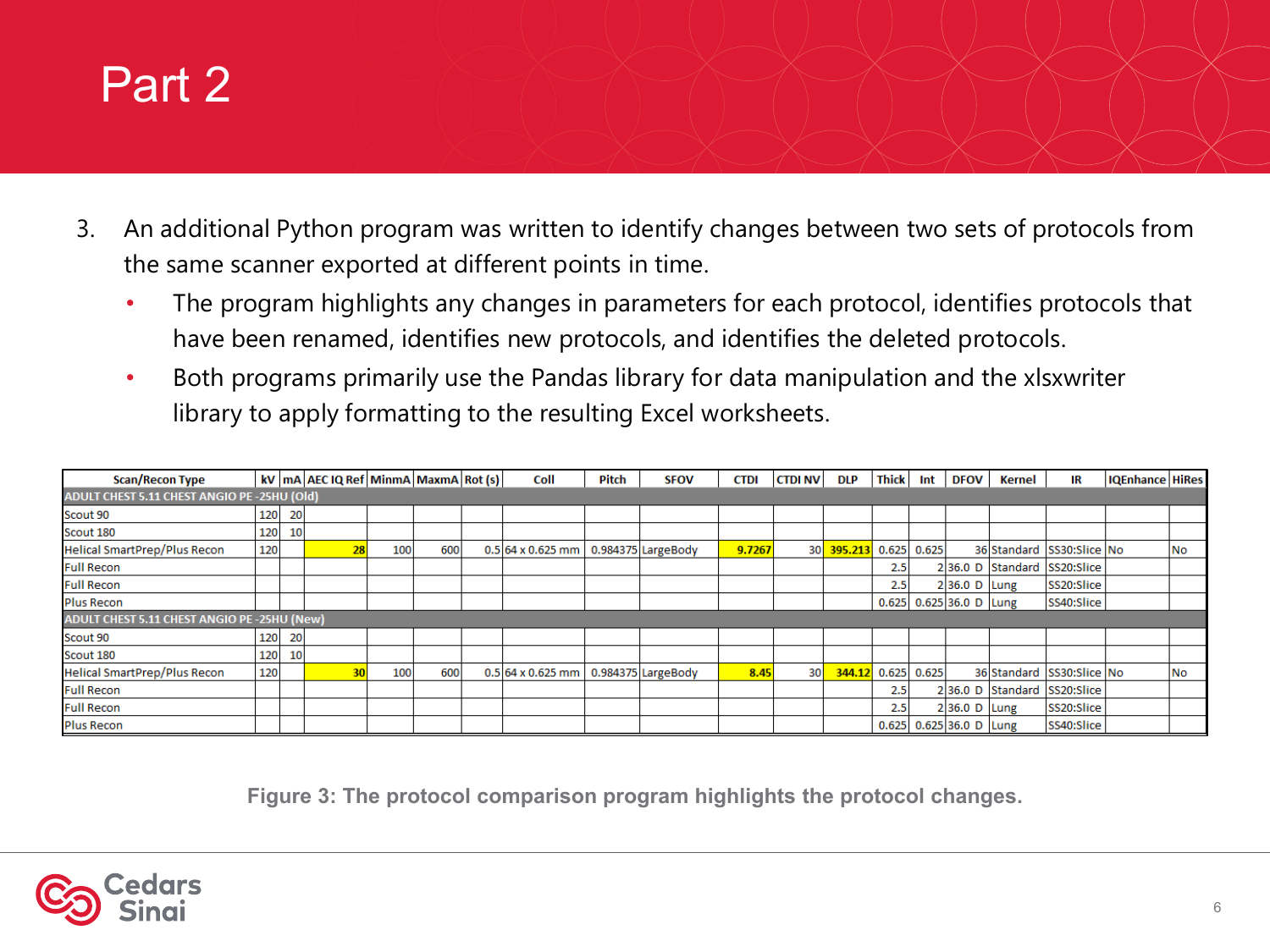#### Part 2

- 3. An additional Python program was written to identify changes between two sets of protocols from the same scanner exported at different points in time.
	- The program highlights any changes in parameters for each protocol, identifies protocols that have been renamed, identifies new protocols, and identifies the deleted protocols.
	- Both programs primarily use the Pandas library for data manipulation and the xlsxwriter library to apply formatting to the resulting Excel worksheets.

| Scan/Recon Type                              |                                                     |    | kV   mA   AEC IQ Ref   MinmA   MaxmA   Rot (s) |     |     |  | Coll                                   | Pitch | <b>SFOV</b> | <b>CTDI</b> | <b>CTDI NV</b>  | <b>DLP</b>             | <b>Thick</b> |  | Int DFOV                  | Kernel | IR                          | IQEnhance HiRes |    |
|----------------------------------------------|-----------------------------------------------------|----|------------------------------------------------|-----|-----|--|----------------------------------------|-------|-------------|-------------|-----------------|------------------------|--------------|--|---------------------------|--------|-----------------------------|-----------------|----|
| ADULT CHEST 5.11 CHEST ANGIO PE - 25HU (Old) |                                                     |    |                                                |     |     |  |                                        |       |             |             |                 |                        |              |  |                           |        |                             |                 |    |
| Scout 90                                     | 120                                                 | 20 |                                                |     |     |  |                                        |       |             |             |                 |                        |              |  |                           |        |                             |                 |    |
| Scout 180                                    | 120                                                 | 10 |                                                |     |     |  |                                        |       |             |             |                 |                        |              |  |                           |        |                             |                 |    |
| <b>Helical SmartPrep/Plus Recon</b>          | 120                                                 |    |                                                | 100 | 600 |  | 0.5 64 x 0.625 mm   0.984375 LargeBody |       |             | 9.7267      |                 | 30 395.213 0.625 0.625 |              |  |                           |        | 36 Standard SS30:Slice No   |                 | No |
| <b>Full Recon</b>                            |                                                     |    |                                                |     |     |  |                                        |       |             |             |                 |                        | 2.5          |  |                           |        | 236.0 D Standard SS20:Slice |                 |    |
| <b>Full Recon</b>                            |                                                     |    |                                                |     |     |  |                                        |       |             |             |                 |                        | 2.5          |  | $2 36.0 D $ Lung          |        | SS20:Slice                  |                 |    |
| <b>Plus Recon</b>                            |                                                     |    |                                                |     |     |  |                                        |       |             |             |                 |                        |              |  | $0.625$ 0.625 36.0 D Lung |        | SS40:Slice                  |                 |    |
|                                              | <b>ADULT CHEST 5.11 CHEST ANGIO PE - 25HU (New)</b> |    |                                                |     |     |  |                                        |       |             |             |                 |                        |              |  |                           |        |                             |                 |    |
| Scout 90                                     | 120                                                 | 20 |                                                |     |     |  |                                        |       |             |             |                 |                        |              |  |                           |        |                             |                 |    |
| Scout 180                                    | 120                                                 | 10 |                                                |     |     |  |                                        |       |             |             |                 |                        |              |  |                           |        |                             |                 |    |
| Helical SmartPrep/Plus Recon                 | 120                                                 |    |                                                | 100 | 600 |  | 0.5 64 x 0.625 mm   0.984375 LargeBody |       |             | 8.45        | 30 <sup>1</sup> | 344.12 0.625 0.625     |              |  |                           |        | 36 Standard SS30: Slice No  |                 | No |
| <b>Full Recon</b>                            |                                                     |    |                                                |     |     |  |                                        |       |             |             |                 |                        | 2.5          |  |                           |        | 236.0 D Standard SS20:Slice |                 |    |
| <b>Full Recon</b>                            |                                                     |    |                                                |     |     |  |                                        |       |             |             |                 |                        | 2.5          |  | 236.0 D Lung              |        | SS20:Slice                  |                 |    |
| <b>Plus Recon</b>                            |                                                     |    |                                                |     |     |  |                                        |       |             |             |                 |                        |              |  | $0.625$ 0.625 36.0 D Lung |        | SS40:Slice                  |                 |    |

**Figure 3: The protocol comparison program highlights the protocol changes.**

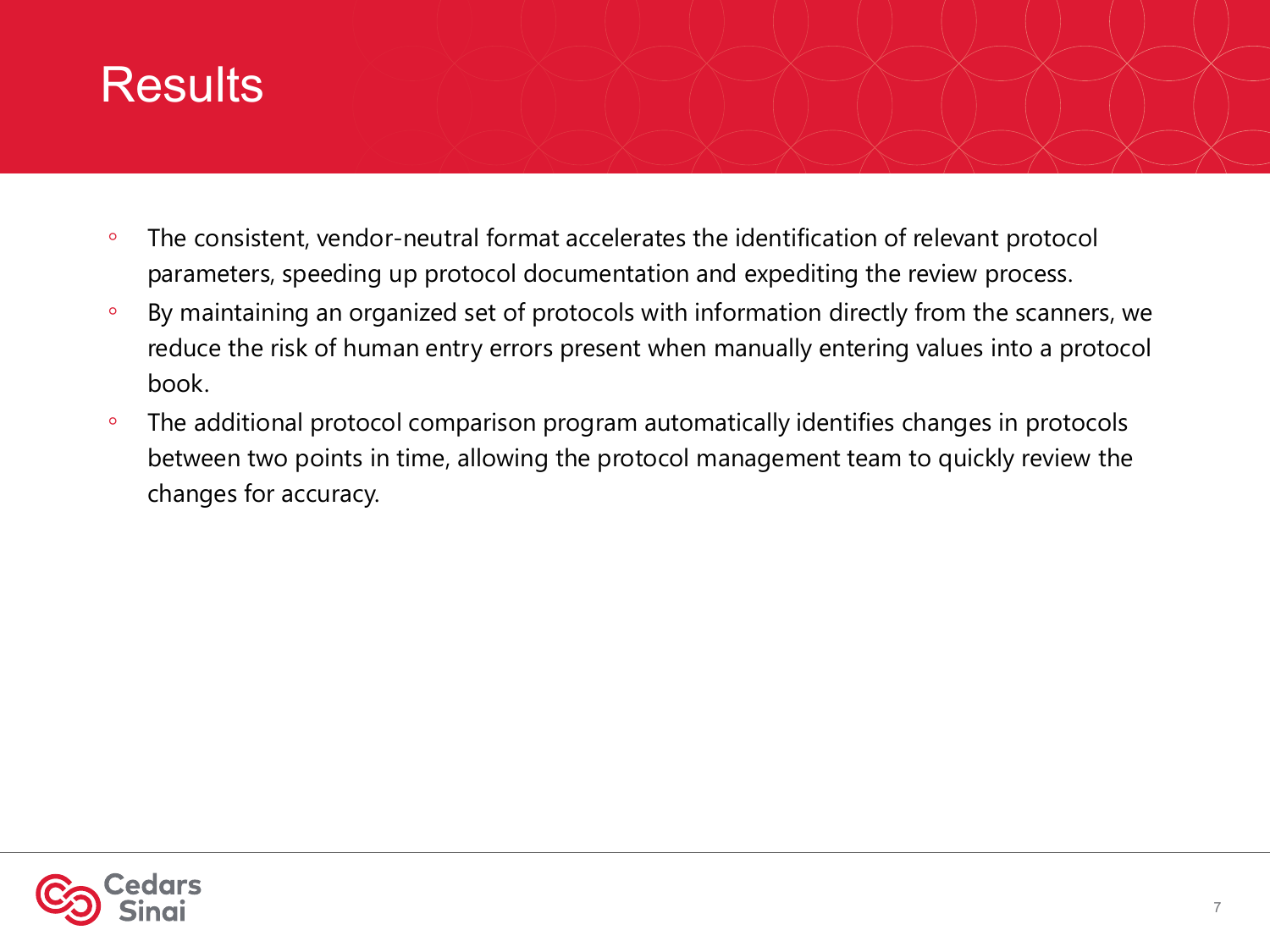### **Results**

- The consistent, vendor-neutral format accelerates the identification of relevant protocol parameters, speeding up protocol documentation and expediting the review process.
- By maintaining an organized set of protocols with information directly from the scanners, we reduce the risk of human entry errors present when manually entering values into a protocol book.
- The additional protocol comparison program automatically identifies changes in protocols between two points in time, allowing the protocol management team to quickly review the changes for accuracy.